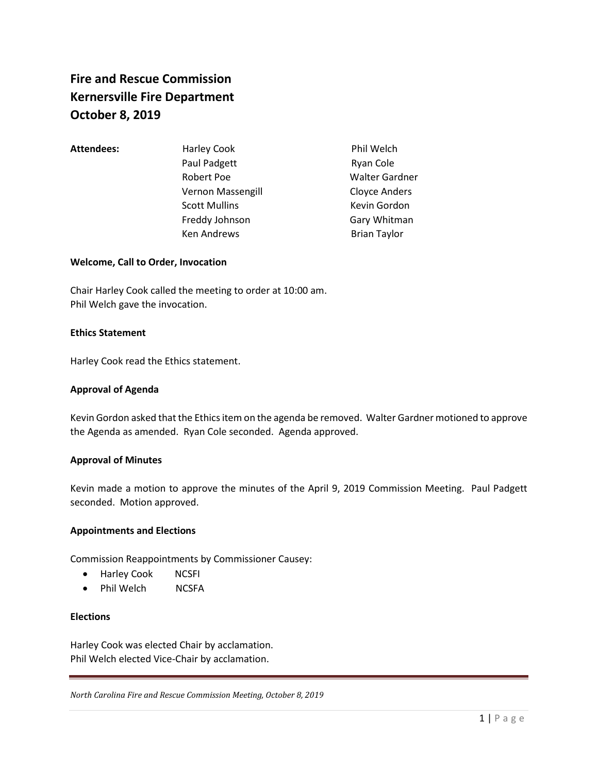# **Fire and Rescue Commission Kernersville Fire Department October 8, 2019**

Attendees: Harley Cook Phil Welch Paul Padgett **Ryan Cole** Robert Poe Walter Gardner Vernon Massengill Cloyce Anders Scott Mullins **Kevin Gordon** Freddy Johnson Gary Whitman Ken Andrews **Brian Taylor** 

# **Welcome, Call to Order, Invocation**

Chair Harley Cook called the meeting to order at 10:00 am. Phil Welch gave the invocation.

# **Ethics Statement**

Harley Cook read the Ethics statement.

### **Approval of Agenda**

Kevin Gordon asked that the Ethics item on the agenda be removed. Walter Gardner motioned to approve the Agenda as amended. Ryan Cole seconded. Agenda approved.

#### **Approval of Minutes**

Kevin made a motion to approve the minutes of the April 9, 2019 Commission Meeting. Paul Padgett seconded. Motion approved.

# **Appointments and Elections**

Commission Reappointments by Commissioner Causey:

- Harley Cook NCSFI
- Phil Welch NCSFA

#### **Elections**

Harley Cook was elected Chair by acclamation. Phil Welch elected Vice-Chair by acclamation.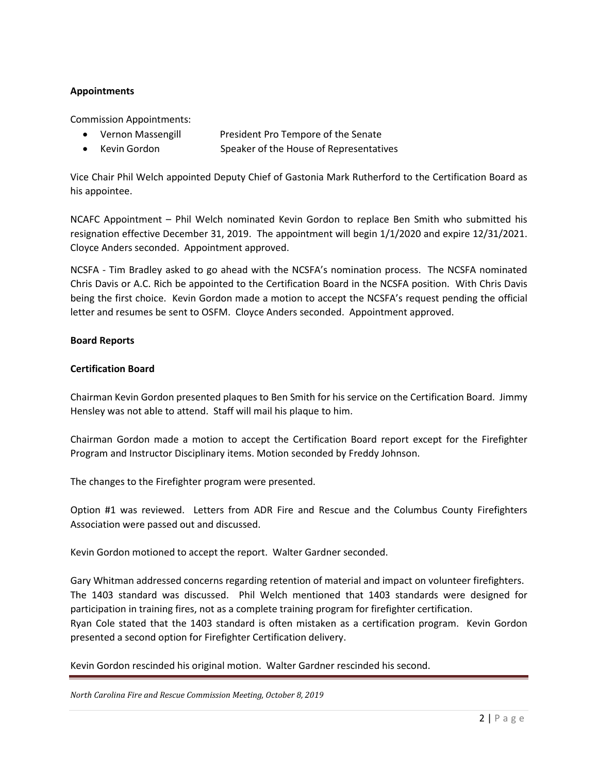# **Appointments**

Commission Appointments:

- Vernon Massengill President Pro Tempore of the Senate
- Kevin Gordon Speaker of the House of Representatives

Vice Chair Phil Welch appointed Deputy Chief of Gastonia Mark Rutherford to the Certification Board as his appointee.

NCAFC Appointment – Phil Welch nominated Kevin Gordon to replace Ben Smith who submitted his resignation effective December 31, 2019. The appointment will begin 1/1/2020 and expire 12/31/2021. Cloyce Anders seconded. Appointment approved.

NCSFA - Tim Bradley asked to go ahead with the NCSFA's nomination process. The NCSFA nominated Chris Davis or A.C. Rich be appointed to the Certification Board in the NCSFA position. With Chris Davis being the first choice. Kevin Gordon made a motion to accept the NCSFA's request pending the official letter and resumes be sent to OSFM. Cloyce Anders seconded. Appointment approved.

# **Board Reports**

# **Certification Board**

Chairman Kevin Gordon presented plaques to Ben Smith for his service on the Certification Board. Jimmy Hensley was not able to attend. Staff will mail his plaque to him.

Chairman Gordon made a motion to accept the Certification Board report except for the Firefighter Program and Instructor Disciplinary items. Motion seconded by Freddy Johnson.

The changes to the Firefighter program were presented.

Option #1 was reviewed. Letters from ADR Fire and Rescue and the Columbus County Firefighters Association were passed out and discussed.

Kevin Gordon motioned to accept the report. Walter Gardner seconded.

Gary Whitman addressed concerns regarding retention of material and impact on volunteer firefighters. The 1403 standard was discussed. Phil Welch mentioned that 1403 standards were designed for participation in training fires, not as a complete training program for firefighter certification. Ryan Cole stated that the 1403 standard is often mistaken as a certification program. Kevin Gordon presented a second option for Firefighter Certification delivery.

Kevin Gordon rescinded his original motion. Walter Gardner rescinded his second.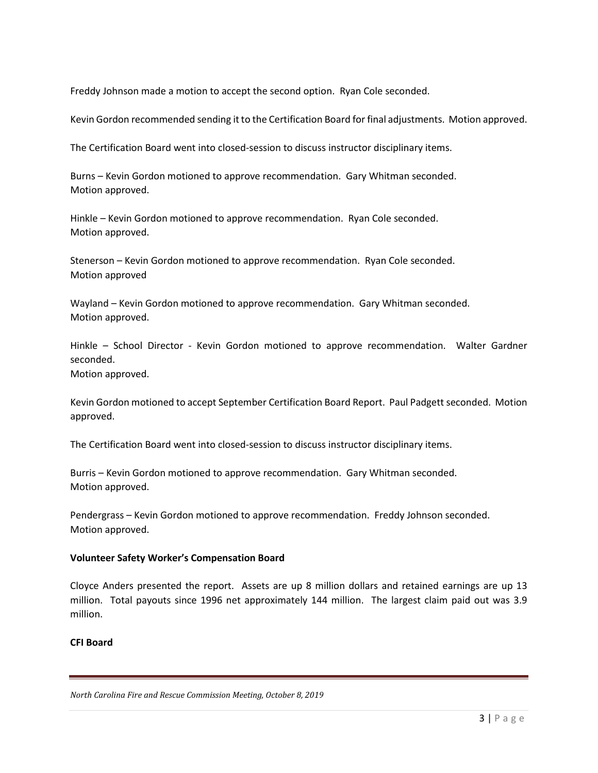Freddy Johnson made a motion to accept the second option. Ryan Cole seconded.

Kevin Gordon recommended sending it to the Certification Board for final adjustments. Motion approved.

The Certification Board went into closed-session to discuss instructor disciplinary items.

Burns – Kevin Gordon motioned to approve recommendation. Gary Whitman seconded. Motion approved.

Hinkle – Kevin Gordon motioned to approve recommendation. Ryan Cole seconded. Motion approved.

Stenerson – Kevin Gordon motioned to approve recommendation. Ryan Cole seconded. Motion approved

Wayland – Kevin Gordon motioned to approve recommendation. Gary Whitman seconded. Motion approved.

Hinkle – School Director - Kevin Gordon motioned to approve recommendation. Walter Gardner seconded.

Motion approved.

Kevin Gordon motioned to accept September Certification Board Report. Paul Padgett seconded. Motion approved.

The Certification Board went into closed-session to discuss instructor disciplinary items.

Burris – Kevin Gordon motioned to approve recommendation. Gary Whitman seconded. Motion approved.

Pendergrass – Kevin Gordon motioned to approve recommendation. Freddy Johnson seconded. Motion approved.

# **Volunteer Safety Worker's Compensation Board**

Cloyce Anders presented the report. Assets are up 8 million dollars and retained earnings are up 13 million. Total payouts since 1996 net approximately 144 million. The largest claim paid out was 3.9 million.

# **CFI Board**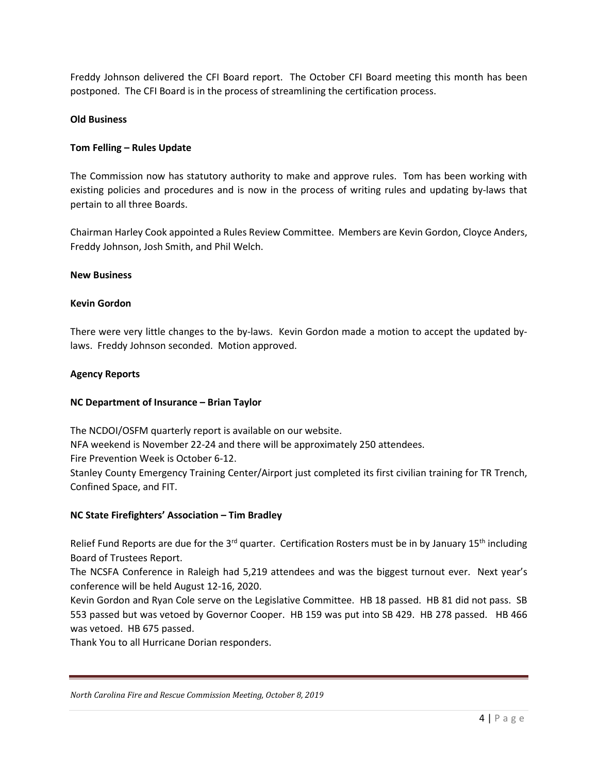Freddy Johnson delivered the CFI Board report. The October CFI Board meeting this month has been postponed. The CFI Board is in the process of streamlining the certification process.

# **Old Business**

# **Tom Felling – Rules Update**

The Commission now has statutory authority to make and approve rules. Tom has been working with existing policies and procedures and is now in the process of writing rules and updating by-laws that pertain to all three Boards.

Chairman Harley Cook appointed a Rules Review Committee. Members are Kevin Gordon, Cloyce Anders, Freddy Johnson, Josh Smith, and Phil Welch.

#### **New Business**

# **Kevin Gordon**

There were very little changes to the by-laws. Kevin Gordon made a motion to accept the updated bylaws. Freddy Johnson seconded. Motion approved.

#### **Agency Reports**

#### **NC Department of Insurance – Brian Taylor**

The NCDOI/OSFM quarterly report is available on our website. NFA weekend is November 22-24 and there will be approximately 250 attendees. Fire Prevention Week is October 6-12. Stanley County Emergency Training Center/Airport just completed its first civilian training for TR Trench, Confined Space, and FIT.

#### **NC State Firefighters' Association – Tim Bradley**

Relief Fund Reports are due for the 3<sup>rd</sup> quarter. Certification Rosters must be in by January 15<sup>th</sup> including Board of Trustees Report.

The NCSFA Conference in Raleigh had 5,219 attendees and was the biggest turnout ever. Next year's conference will be held August 12-16, 2020.

Kevin Gordon and Ryan Cole serve on the Legislative Committee. HB 18 passed. HB 81 did not pass. SB 553 passed but was vetoed by Governor Cooper. HB 159 was put into SB 429. HB 278 passed. HB 466 was vetoed. HB 675 passed.

Thank You to all Hurricane Dorian responders.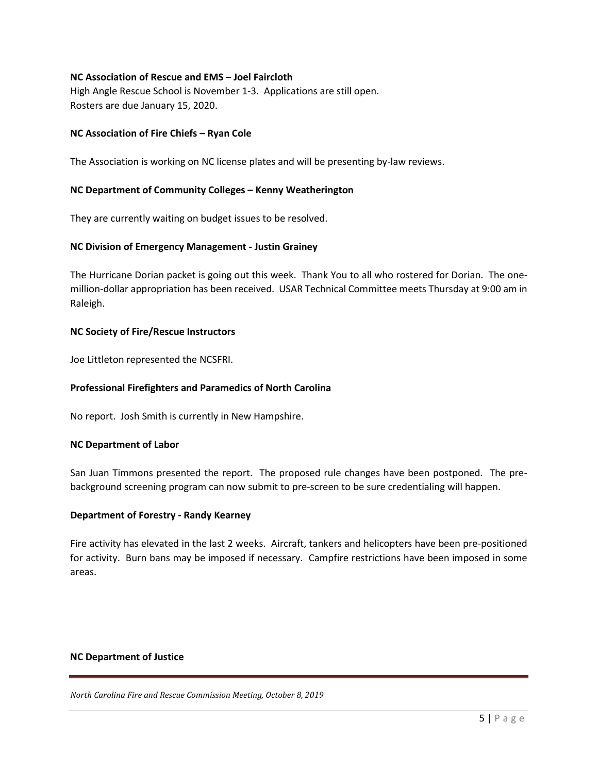# **NC Association of Rescue and EMS – Joel Faircloth**

High Angle Rescue School is November 1-3. Applications are still open. Rosters are due January 15, 2020.

# **NC Association of Fire Chiefs – Ryan Cole**

The Association is working on NC license plates and will be presenting by-law reviews.

# **NC Department of Community Colleges – Kenny Weatherington**

They are currently waiting on budget issues to be resolved.

# **NC Division of Emergency Management - Justin Grainey**

The Hurricane Dorian packet is going out this week. Thank You to all who rostered for Dorian. The onemillion-dollar appropriation has been received. USAR Technical Committee meets Thursday at 9:00 am in Raleigh.

#### **NC Society of Fire/Rescue Instructors**

Joe Littleton represented the NCSFRI.

### **Professional Firefighters and Paramedics of North Carolina**

No report. Josh Smith is currently in New Hampshire.

#### **NC Department of Labor**

San Juan Timmons presented the report. The proposed rule changes have been postponed. The prebackground screening program can now submit to pre-screen to be sure credentialing will happen.

### **Department of Forestry - Randy Kearney**

Fire activity has elevated in the last 2 weeks. Aircraft, tankers and helicopters have been pre-positioned for activity. Burn bans may be imposed if necessary. Campfire restrictions have been imposed in some areas.

#### **NC Department of Justice**